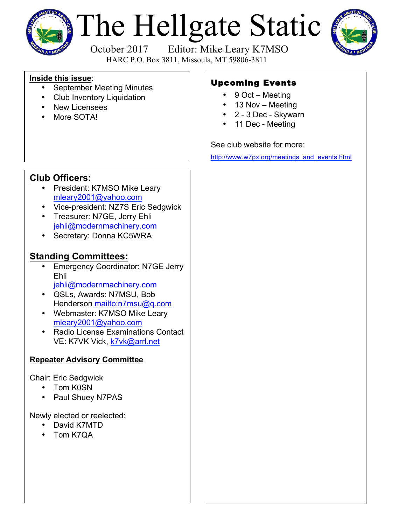

# The Hellgate Static



 October 2017 Editor: Mike Leary K7MSO HARC P.O. Box 3811, Missoula, MT 59806-3811

#### **Inside this issue**:

- September Meeting Minutes
- Club Inventory Liquidation
- **New Licensees**
- More SOTA!

# **Club Officers:**

- President: K7MSO Mike Leary mleary2001@yahoo.com
- Vice-president: NZ7S Eric Sedgwick
- Treasurer: N7GE, Jerry Ehli jehli@modernmachinery.com
- Secretary: Donna KC5WRA

# **Standing Committees:**

- Emergency Coordinator: N7GE Jerry Ehli jehli@modernmachinery.com
- QSLs, Awards: N7MSU, Bob Henderson mailto:n7msu@q.com
- Webmaster: K7MSO Mike Leary mleary2001@yahoo.com
- Radio License Examinations Contact VE: K7VK Vick, k7vk@arrl.net

# **Repeater Advisory Committee**

Chair: Eric Sedgwick

- Tom K0SN
- Paul Shuey N7PAS

Newly elected or reelected:

- David K7MTD
- Tom K7QA

# Upcoming Events

- 9 Oct Meeting
- 13 Nov Meeting
- 2 3 Dec Skywarn
- 11 Dec Meeting

## See club website for more:

http://www.w7px.org/meetings\_and\_events.html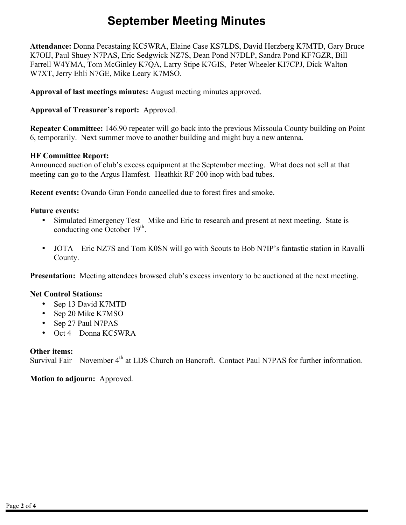# **September Meeting Minutes**

**Attendance:** Donna Pecastaing KC5WRA, Elaine Case KS7LDS, David Herzberg K7MTD, Gary Bruce K7OIJ, Paul Shuey N7PAS, Eric Sedgwick NZ7S, Dean Pond N7DLP, Sandra Pond KF7GZR, Bill Farrell W4YMA, Tom McGinley K7QA, Larry Stipe K7GIS, Peter Wheeler KI7CPJ, Dick Walton W7XT, Jerry Ehli N7GE, Mike Leary K7MSO.

**Approval of last meetings minutes:** August meeting minutes approved.

#### **Approval of Treasurer's report:** Approved.

**Repeater Committee:** 146.90 repeater will go back into the previous Missoula County building on Point 6, temporarily. Next summer move to another building and might buy a new antenna.

#### **HF Committee Report:**

Announced auction of club's excess equipment at the September meeting. What does not sell at that meeting can go to the Argus Hamfest. Heathkit RF 200 inop with bad tubes.

**Recent events:** Ovando Gran Fondo cancelled due to forest fires and smoke.

#### **Future events:**

- Simulated Emergency Test Mike and Eric to research and present at next meeting. State is conducting one October  $19<sup>th</sup>$ .
- JOTA Eric NZ7S and Tom K0SN will go with Scouts to Bob N7IP's fantastic station in Ravalli County.

**Presentation:** Meeting attendees browsed club's excess inventory to be auctioned at the next meeting.

#### **Net Control Stations:**

- Sep 13 David K7MTD
- Sep 20 Mike K7MSO
- Sep 27 Paul N7PAS
- Oct 4 Donna KC5WRA

#### **Other items:**

Survival Fair – November  $4<sup>th</sup>$  at LDS Church on Bancroft. Contact Paul N7PAS for further information.

**Motion to adjourn:** Approved.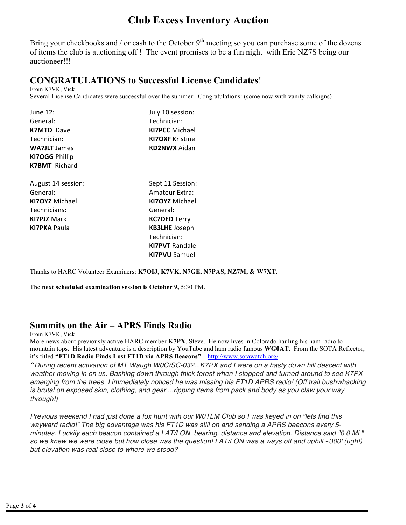# **Club Excess Inventory Auction**

Bring your checkbooks and / or cash to the October  $9<sup>th</sup>$  meeting so you can purchase some of the dozens of items the club is auctioning off ! The event promises to be a fun night with Eric NZ7S being our auctioneer!!!

## **CONGRATULATIONS to Successful License Candidates**!

From K7VK, Vick Several License Candidates were successful over the summer: Congratulations: (some now with vanity callsigns)

| June 12:              | July 10 session:       |
|-----------------------|------------------------|
| General:              | Technician:            |
| <b>K7MTD</b> Dave     | <b>KI7PCC</b> Michael  |
| Technician:           | <b>KI7OXF Kristine</b> |
| <b>WA7JLT</b> James   | <b>KD2NWX</b> Aidan    |
| <b>KI7OGG Phillip</b> |                        |
| <b>K7BMT</b> Richard  |                        |
| August 14 session:    | Sept 11 Session:       |
| General:              | Amateur Extra:         |
| <b>KI7OYZ</b> Michael | <b>KI7OYZ</b> Michael  |
| Technicians:          | General:               |
| <b>KI7PJZ</b> Mark    | <b>KC7DED</b> Terry    |
| <b>KI7PKA Paula</b>   | <b>KB3LHE</b> Joseph   |
|                       | Technician:            |
|                       | <b>KI7PVT</b> Randale  |
|                       | <b>KI7PVU</b> Samuel   |

Thanks to HARC Volunteer Examiners: **K7OIJ, K7VK, N7GE, N7PAS, NZ7M, & W7XT**.

The **next scheduled examination session is October 9,** 5:30 PM.

### **Summits on the Air – APRS Finds Radio**

From K7VK, Vick

More news about previously active HARC member **K7PX**, Steve. He now lives in Colorado hauling his ham radio to mountain tops. His latest adventure is a description by YouTube and ham radio famous **WG0AT**. From the SOTA Reflector, it's titled **"FT1D Radio Finds Lost FT1D via APRS Beacons"**. http://www.sotawatch.org/

*"During recent activation of MT Waugh W0C/SC-032...K7PX and I were on a hasty down hill descent with weather moving in on us. Bashing down through thick forest when I stopped and turned around to see K7PX emerging from the trees. I immediately noticed he was missing his FT1D APRS radio! (Off trail bushwhacking is brutal on exposed skin, clothing, and gear ...ripping items from pack and body as you claw your way through!)*

*Previous weekend I had just done a fox hunt with our W0TLM Club so I was keyed in on "lets find this wayward radio!" The big advantage was his FT1D was still on and sending a APRS beacons every 5 minutes. Luckily each beacon contained a LAT/LON, bearing, distance and elevation. Distance said "0.0 Mi." so we knew we were close but how close was the question! LAT/LON was a ways off and uphill ~300' (ugh!) but elevation was real close to where we stood?*